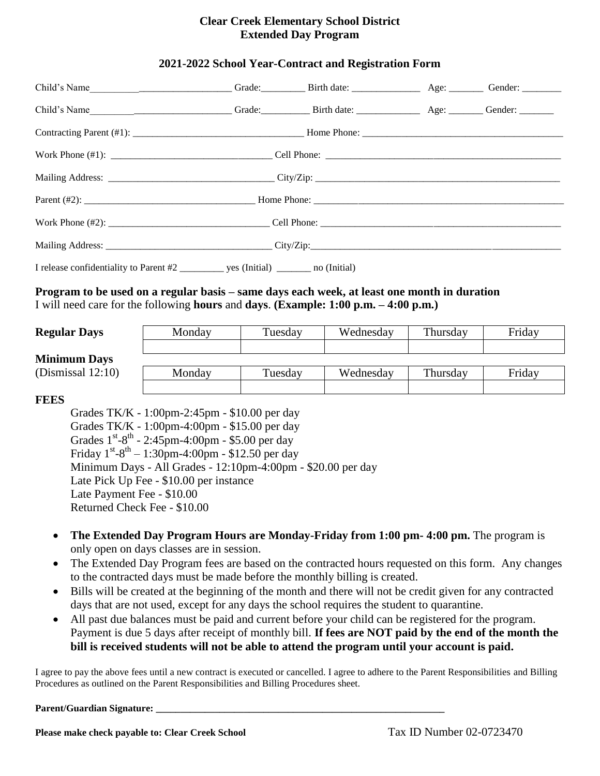## **Clear Creek Elementary School District Extended Day Program**

### **2021-2022 School Year-Contract and Registration Form**

### **Program to be used on a regular basis – same days each week, at least one month in duration** I will need care for the following **hours** and **days**. **(Example: 1:00 p.m. – 4:00 p.m.)**

#### **Regular Days**

#### **Minimum Da**

(Dismissal 12:

|      | Monday | Tuesday | Wednesday | Thursday | Friday |
|------|--------|---------|-----------|----------|--------|
|      |        |         |           |          |        |
| ıys  |        |         |           |          |        |
| :10) | Monday | Tuesday | Wednesday | Thursday | Friday |
|      |        |         |           |          |        |

#### **FEES**

Grades TK/K - 1:00pm-2:45pm - \$10.00 per day Grades TK/K - 1:00pm-4:00pm - \$15.00 per day Grades  $1^{st} - 8^{th} - 2:45$ pm-4:00pm - \$5.00 per day Friday  $1^{st} - 8^{th} - 1:30$ pm-4:00pm - \$12.50 per day Minimum Days - All Grades - 12:10pm-4:00pm - \$20.00 per day Late Pick Up Fee - \$10.00 per instance Late Payment Fee - \$10.00 Returned Check Fee - \$10.00

- **The Extended Day Program Hours are Monday-Friday from 1:00 pm- 4:00 pm.** The program is only open on days classes are in session.
- The Extended Day Program fees are based on the contracted hours requested on this form. Any changes to the contracted days must be made before the monthly billing is created.
- Bills will be created at the beginning of the month and there will not be credit given for any contracted days that are not used, except for any days the school requires the student to quarantine.
- All past due balances must be paid and current before your child can be registered for the program. Payment is due 5 days after receipt of monthly bill. **If fees are NOT paid by the end of the month the bill is received students will not be able to attend the program until your account is paid.**

I agree to pay the above fees until a new contract is executed or cancelled. I agree to adhere to the Parent Responsibilities and Billing Procedures as outlined on the Parent Responsibilities and Billing Procedures sheet.

#### Parent/Guardian Signature: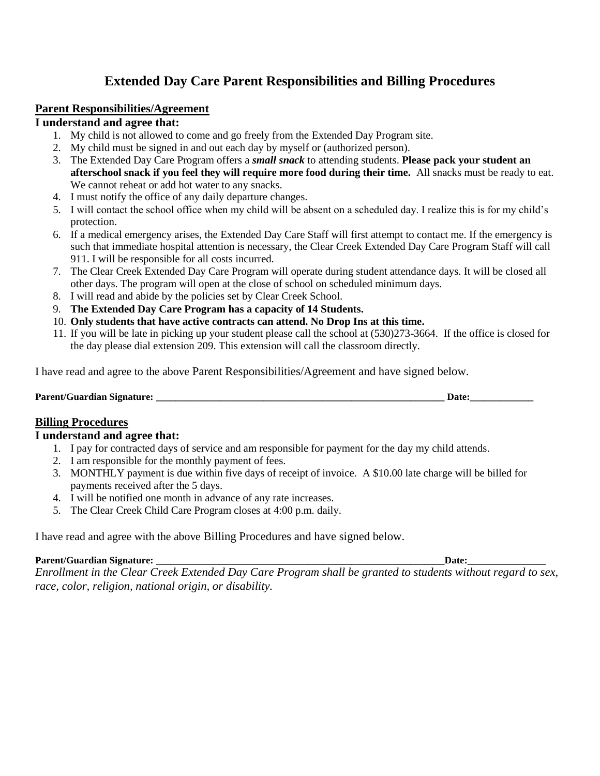# **Extended Day Care Parent Responsibilities and Billing Procedures**

### **Parent Responsibilities/Agreement**

### **I understand and agree that:**

- 1. My child is not allowed to come and go freely from the Extended Day Program site.
- 2. My child must be signed in and out each day by myself or (authorized person).
- 3. The Extended Day Care Program offers a *small snack* to attending students. **Please pack your student an afterschool snack if you feel they will require more food during their time.** All snacks must be ready to eat. We cannot reheat or add hot water to any snacks.
- 4. I must notify the office of any daily departure changes.
- 5. I will contact the school office when my child will be absent on a scheduled day. I realize this is for my child's protection.
- 6. If a medical emergency arises, the Extended Day Care Staff will first attempt to contact me. If the emergency is such that immediate hospital attention is necessary, the Clear Creek Extended Day Care Program Staff will call 911. I will be responsible for all costs incurred.
- 7. The Clear Creek Extended Day Care Program will operate during student attendance days. It will be closed all other days. The program will open at the close of school on scheduled minimum days.
- 8. I will read and abide by the policies set by Clear Creek School.
- 9. **The Extended Day Care Program has a capacity of 14 Students.**
- 10. **Only students that have active contracts can attend. No Drop Ins at this time.**
- 11. If you will be late in picking up your student please call the school at (530)273-3664. If the office is closed for the day please dial extension 209. This extension will call the classroom directly.

I have read and agree to the above Parent Responsibilities/Agreement and have signed below.

| Parent/G<br>$\sim$<br>Signature:<br>-uard | In. |
|-------------------------------------------|-----|
|-------------------------------------------|-----|

## **Billing Procedures**

## **I understand and agree that:**

- 1. I pay for contracted days of service and am responsible for payment for the day my child attends.
- 2. I am responsible for the monthly payment of fees.
- 3. MONTHLY payment is due within five days of receipt of invoice. A \$10.00 late charge will be billed for payments received after the 5 days.
- 4. I will be notified one month in advance of any rate increases.
- 5. The Clear Creek Child Care Program closes at 4:00 p.m. daily.

I have read and agree with the above Billing Procedures and have signed below.

### **Parent/Guardian Signature: \_\_\_\_\_\_\_\_\_\_\_\_\_\_\_\_\_\_\_\_\_\_\_\_\_\_\_\_\_\_\_\_\_\_\_\_\_\_\_\_\_\_\_\_\_\_\_\_\_\_\_\_\_\_\_\_\_\_\_Date:\_\_\_\_\_\_\_\_\_\_\_\_\_\_\_\_**

*Enrollment in the Clear Creek Extended Day Care Program shall be granted to students without regard to sex, race, color, religion, national origin, or disability.*